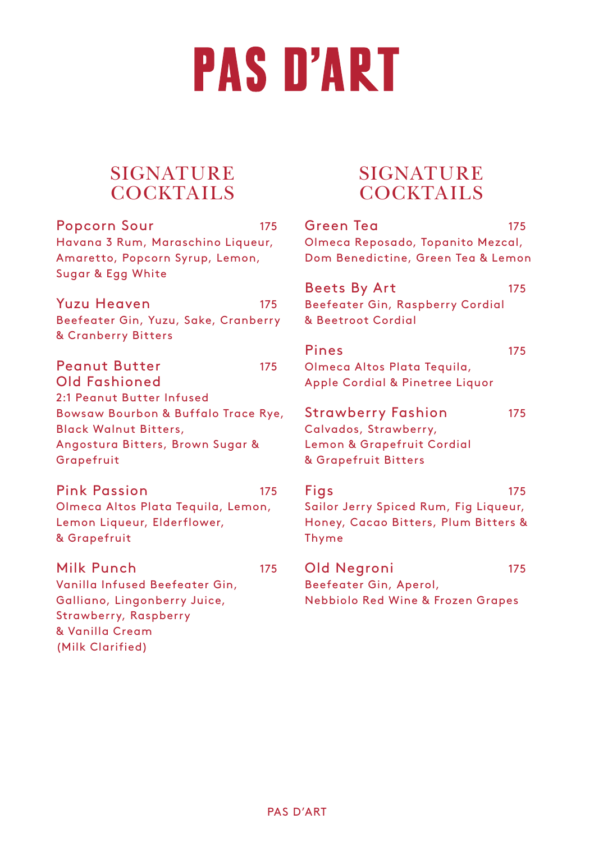# **PAS D'ART**

# **SIGNATURE** COCKTAILS

Popcorn Sour 175 Havana 3 Rum, Maraschino Liqueur, Amaretto, Popcorn Syrup, Lemon, Sugar & Egg White

Yuzu Heaven 175 Beefeater Gin, Yuzu, Sake, Cranberry & Cranberry Bitters

Peanut Butter 175 Old Fashioned 2:1 Peanut Butter Infused Bowsaw Bourbon & Buffalo Trace Rye, Black Walnut Bitters, Angostura Bitters, Brown Sugar & Grapefruit

Pink Passion 175 Olmeca Altos Plata Tequila, Lemon, Lemon Liqueur, Elderflower, & Grapefruit

Milk Punch 175 Vanilla Infused Beefeater Gin, Galliano, Lingonberry Juice, Strawberry, Raspberry & Vanilla Cream (Milk Clarified)

# **SIGNATURE** COCKTAILS

| Green Tea<br>Olmeca Reposado, Topanito Mezcal,<br>Dom Benedictine, Green Tea & Lemon                     | 175 |
|----------------------------------------------------------------------------------------------------------|-----|
| <b>Beets By Art</b><br>Beefeater Gin, Raspberry Cordial<br>& Beetroot Cordial                            | 175 |
| Pines<br>Olmeca Altos Plata Tequila,<br>Apple Cordial & Pinetree Liquor                                  | 175 |
| <b>Strawberry Fashion</b><br>Calvados, Strawberry,<br>Lemon & Grapefruit Cordial<br>& Grapefruit Bitters | 175 |
| Figs<br>Sailor Jerry Spiced Rum, Fig Liqueur,<br>Honey, Cacao Bitters, Plum Bitters &<br>Thyme           | 175 |
| Old Negroni<br>Beefeater Gin, Aperol,<br><b>Nebbiolo Red Wine &amp; Frozen Grapes</b>                    | 175 |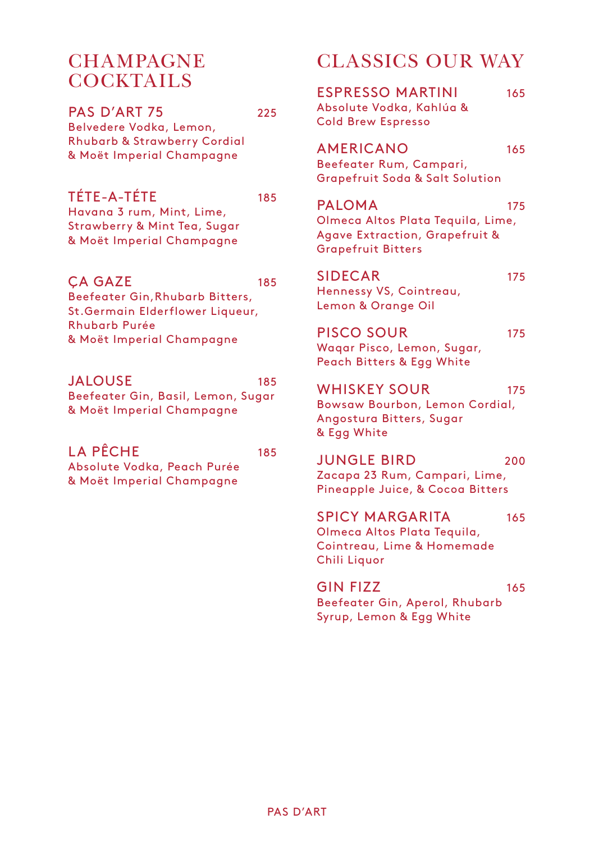#### **CHAMPAGNE** COCKTAILS

PAS D'ART 75 225

Belvedere Vodka, Lemon, Rhubarb & Strawberry Cordial & Moët Imperial Champagne

TÉTE-A-TÉTE 185

Havana 3 rum, Mint, Lime, Strawberry & Mint Tea, Sugar & Moët Imperial Champagne

#### CA GAZE 185

Beefeater Gin,Rhubarb Bitters, St.Germain Elderflower Liqueur, Rhubarb Purée & Moët Imperial Champagne

#### JALOUSE 185

Beefeater Gin, Basil, Lemon, Sugar & Moët Imperial Champagne

#### LA PÊCHE 185

Absolute Vodka, Peach Purée & Moët Imperial Champagne

# CLASSICS OUR WAY

ESPRESSO MARTINI 165 Absolute Vodka, Kahlúa & Cold Brew Espresso

AMERICANO 165 Beefeater Rum, Campari, Grapefruit Soda & Salt Solution

### PALOMA 175

Olmeca Altos Plata Tequila, Lime, Agave Extraction, Grapefruit & Grapefruit Bitters

# SIDECAR 175

Hennessy VS, Cointreau, Lemon & Orange Oil

PISCO SOUR 175

Waqar Pisco, Lemon, Sugar, Peach Bitters & Egg White

#### WHISKEY SOUR 175

Bowsaw Bourbon, Lemon Cordial, Angostura Bitters, Sugar & Egg White

JUNGLE BIRD<sub>200</sub> Zacapa 23 Rum, Campari, Lime, Pineapple Juice, & Cocoa Bitters

SPICY MARGARITA 165 Olmeca Altos Plata Tequila, Cointreau, Lime & Homemade Chili Liquor

#### GIN FIZZ 165

Beefeater Gin, Aperol, Rhubarb Syrup, Lemon & Egg White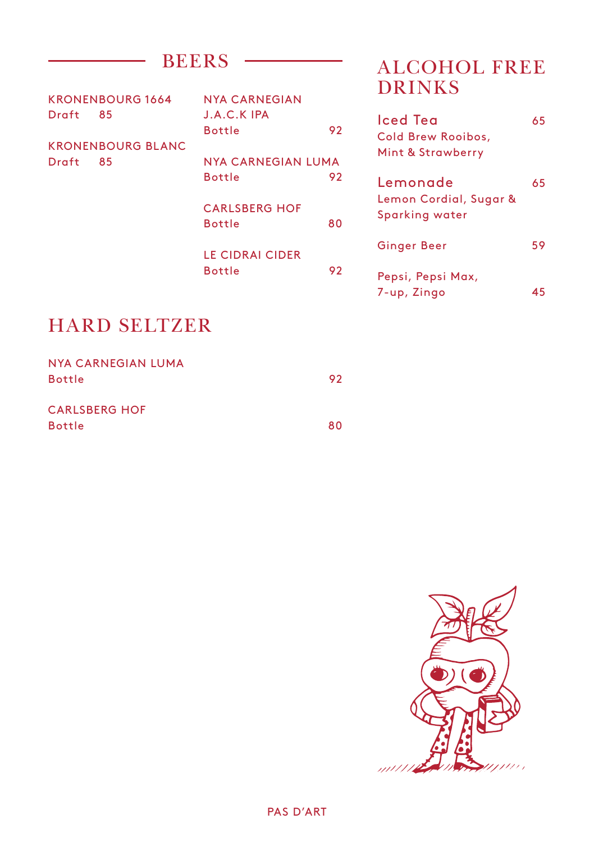|       | KRONENBOURG 1664         | NYA CARNEGIAN          |    |
|-------|--------------------------|------------------------|----|
| Draft | 85                       | <b>J.A.C.KIPA</b>      |    |
|       |                          | <b>Bottle</b>          | 92 |
|       | <b>KRONENBOURG BLANC</b> |                        |    |
| Draft | 85                       | NYA CARNEGIAN LUMA     |    |
|       |                          | <b>Bottle</b>          | 92 |
|       |                          |                        |    |
|       |                          | <b>CARLSBERG HOF</b>   |    |
|       |                          | <b>Bottle</b>          | 80 |
|       |                          |                        |    |
|       |                          | <b>LE CIDRAI CIDER</b> |    |
|       |                          | <b>Bottle</b>          | 92 |
|       |                          |                        |    |

# BEERS ALCOHOL FREE DRINKS

| lced Tea<br>Cold Brew Rooibos,<br>Mint & Strawberry  | 65 |
|------------------------------------------------------|----|
| Lemonade<br>Lemon Cordial, Sugar &<br>Sparking water | 65 |
| Ginger Beer                                          | 59 |
| Pepsi, Pepsi Max,<br>7-up, Zingo                     | 45 |

# HARD SELTZER

| NYA CARNEGIAN LUMA   |    |
|----------------------|----|
| <b>Bottle</b>        | 92 |
|                      |    |
| <b>CARLSBERG HOF</b> |    |
| <b>Bottle</b>        | 80 |

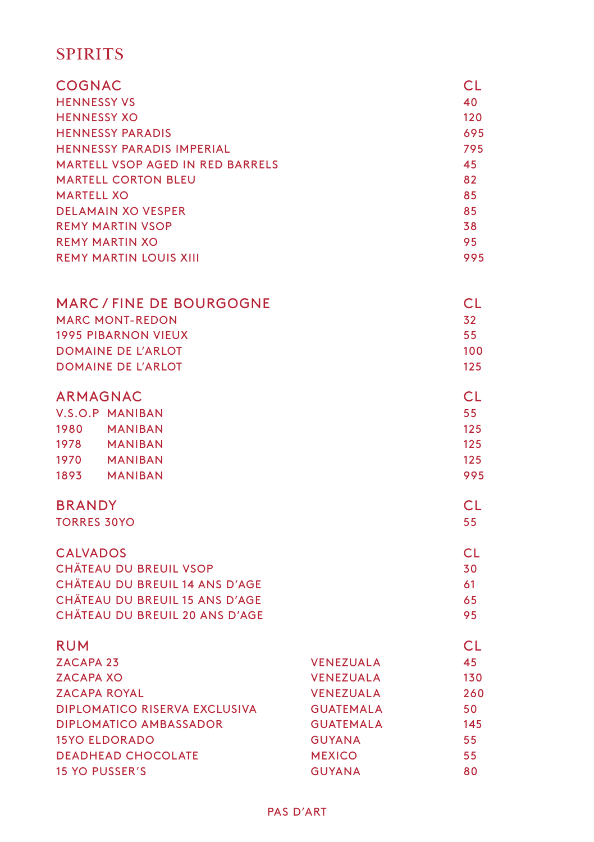### **SPIRITS**

| COGNAC<br><b>HENNESSY VS</b><br><b>HENNESSY XO</b><br><b>HENNESSY PARADIS</b><br><b>HENNESSY PARADIS IMPERIAL</b><br><b>MARTELL VSOP AGED IN RED BARRELS</b><br><b>MARTELL CORTON BLEU</b><br><b>MARTELL XO</b><br><b>DELAMAIN XO VESPER</b><br><b>REMY MARTIN VSOP</b><br><b>REMY MARTIN XO</b><br><b>REMY MARTIN LOUIS XIII</b> |                                                                                                                                                     | CL<br>40<br>120<br>695<br>795<br>45<br>82<br>85<br>85<br>38<br>95<br>995 |
|-----------------------------------------------------------------------------------------------------------------------------------------------------------------------------------------------------------------------------------------------------------------------------------------------------------------------------------|-----------------------------------------------------------------------------------------------------------------------------------------------------|--------------------------------------------------------------------------|
| <b>MARC/FINE DE BOURGOGNE</b><br><b>MARC MONT-REDON</b><br><b>1995 PIBARNON VIEUX</b><br><b>DOMAINE DE L'ARLOT</b><br><b>DOMAINE DE L'ARLOT</b>                                                                                                                                                                                   |                                                                                                                                                     | CL<br>32<br>55<br>100<br>125                                             |
| <b>ARMAGNAC</b><br>V.S.O.P MANIBAN<br>1980 MANIBAN<br>1978 MANIBAN<br>1970<br>MANIBAN<br>1893<br>MANIBAN                                                                                                                                                                                                                          |                                                                                                                                                     | CL<br>55<br>125<br>125<br>125<br>995                                     |
| <b>BRANDY</b><br><b>TORRES 30YO</b>                                                                                                                                                                                                                                                                                               |                                                                                                                                                     | CL<br>55                                                                 |
| <b>CALVADOS</b><br><b>CHÄTEAU DU BREUIL VSOP</b><br><b>CHÂTEAU DU BREUIL 14 ANS D'AGE</b><br><b>CHÄTEAU DU BREUIL 15 ANS D'AGE</b><br>CHÄTEAU DU BREUIL 20 ANS D'AGE                                                                                                                                                              |                                                                                                                                                     | CL.<br>30<br>61<br>65<br>95                                              |
| <b>RUM</b><br>ZACAPA <sub>23</sub><br><b>ZACAPA XO</b><br><b>ZACAPA ROYAL</b><br><b>DIPLOMATICO RISERVA EXCLUSIVA</b><br><b>DIPLOMATICO AMBASSADOR</b><br><b>15YO ELDORADO</b><br><b>DEADHEAD CHOCOLATE</b><br><b>15 YO PUSSER'S</b>                                                                                              | <b>VENEZUALA</b><br><b>VENEZUALA</b><br><b>VENEZUALA</b><br><b>GUATEMALA</b><br><b>GUATEMALA</b><br><b>GUYANA</b><br><b>MEXICO</b><br><b>GUYANA</b> | <b>CL</b><br>45<br>130<br>260<br>50<br>145<br>55<br>55<br>80             |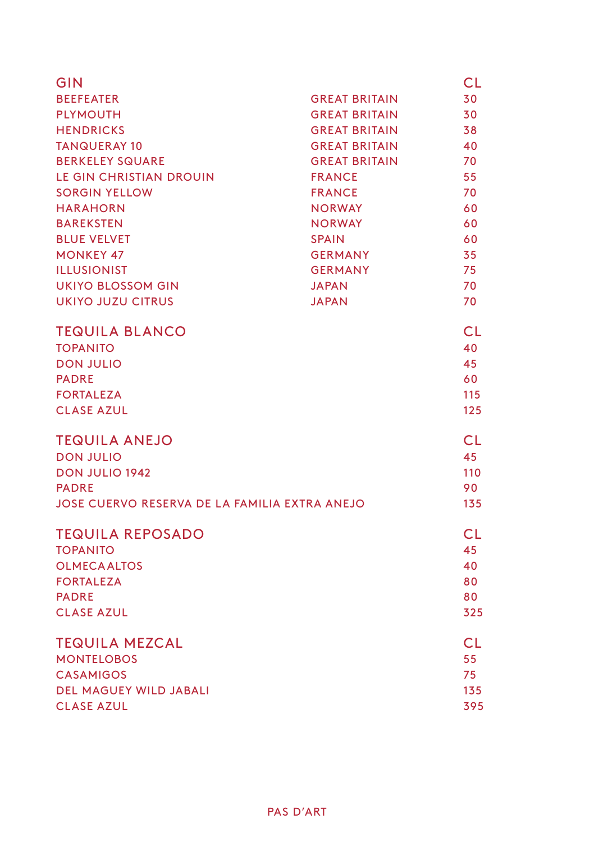| GIN                                           |                      | <b>CL</b> |
|-----------------------------------------------|----------------------|-----------|
| <b>BEEFEATER</b>                              | <b>GREAT BRITAIN</b> | 30        |
| <b>PLYMOUTH</b>                               | <b>GREAT BRITAIN</b> | 30        |
| <b>HENDRICKS</b>                              | <b>GREAT BRITAIN</b> | 38        |
| <b>TANQUERAY 10</b>                           | <b>GREAT BRITAIN</b> | 40        |
| <b>BERKELEY SQUARE</b>                        | <b>GREAT BRITAIN</b> | 70        |
| LE GIN CHRISTIAN DROUIN                       | <b>FRANCE</b>        | 55        |
| <b>SORGIN YELLOW</b>                          | <b>FRANCE</b>        | 70        |
| <b>HARAHORN</b>                               | <b>NORWAY</b>        | 60        |
| <b>BAREKSTEN</b>                              | <b>NORWAY</b>        | 60        |
| <b>BLUE VELVET</b>                            | <b>SPAIN</b>         | 60        |
| <b>MONKEY 47</b>                              | <b>GERMANY</b>       | 35        |
| <b>ILLUSIONIST</b>                            | <b>GERMANY</b>       | 75        |
| <b>UKIYO BLOSSOM GIN</b>                      | <b>JAPAN</b>         | 70        |
| <b>UKIYO JUZU CITRUS</b>                      | <b>JAPAN</b>         | 70        |
| <b>TEQUILA BLANCO</b>                         |                      | <b>CL</b> |
| <b>TOPANITO</b>                               |                      | 40        |
| <b>DON JULIO</b>                              |                      | 45        |
| <b>PADRE</b>                                  |                      | 60        |
| <b>FORTALEZA</b>                              |                      | 115       |
| <b>CLASE AZUL</b>                             |                      | 125       |
| <b>TEQUILA ANEJO</b>                          |                      | CL        |
| <b>DON JULIO</b>                              |                      | 45        |
| <b>DON JULIO 1942</b>                         |                      | 110       |
| <b>PADRE</b>                                  |                      | 90        |
| JOSE CUERVO RESERVA DE LA FAMILIA EXTRA ANEJO |                      | 135       |
| <b>TEQUILA REPOSADO</b>                       |                      | <b>CL</b> |
| <b>TOPANITO</b>                               |                      | 45        |
| <b>OLMECA ALTOS</b>                           |                      | 40        |
| <b>FORTALEZA</b>                              |                      | 80        |
| <b>PADRE</b>                                  |                      | 80        |
| <b>CLASE AZUL</b>                             |                      | 325       |
| <b>TEQUILA MEZCAL</b>                         |                      | <b>CL</b> |
| <b>MONTELOBOS</b>                             |                      | 55        |
| <b>CASAMIGOS</b>                              |                      | 75        |
| <b>DEL MAGUEY WILD JABALI</b>                 |                      | 135       |
| <b>CLASE AZUL</b>                             |                      | 395       |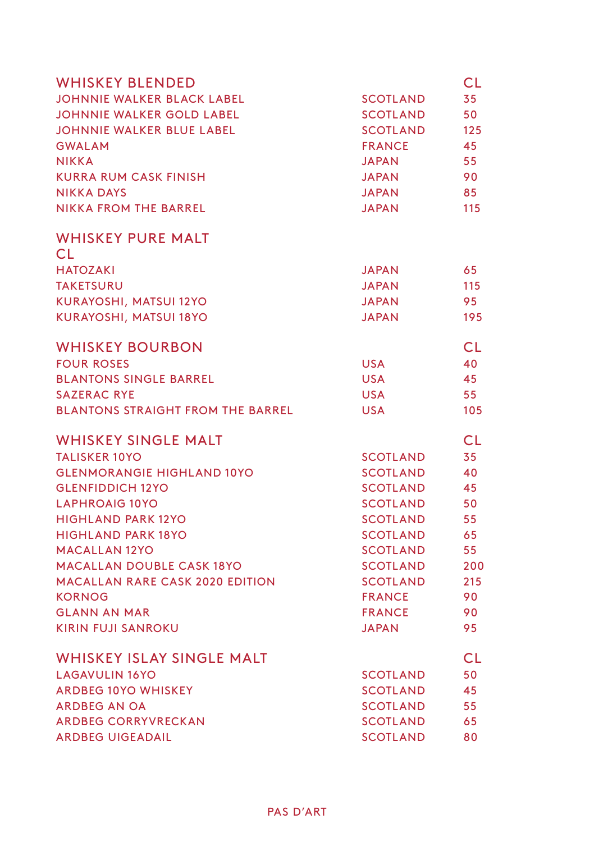| <b>WHISKEY BLENDED</b>                   |                 | CL        |
|------------------------------------------|-----------------|-----------|
| <b>JOHNNIE WALKER BLACK LABEL</b>        | <b>SCOTLAND</b> | 35        |
| <b>JOHNNIE WALKER GOLD LABEL</b>         | <b>SCOTLAND</b> | 50        |
| <b>JOHNNIE WALKER BLUE LABEL</b>         | <b>SCOTLAND</b> | 125       |
| <b>GWALAM</b>                            | <b>FRANCE</b>   | 45        |
| <b>NIKKA</b>                             | <b>JAPAN</b>    | 55        |
| <b>KURRA RUM CASK FINISH</b>             | <b>JAPAN</b>    | 90        |
| <b>NIKKA DAYS</b>                        | <b>JAPAN</b>    | 85        |
| <b>NIKKA FROM THE BARREL</b>             | <b>JAPAN</b>    | 115       |
| <b>WHISKEY PURE MALT</b>                 |                 |           |
| CL.                                      |                 |           |
| <b>HATOZAKI</b>                          | <b>JAPAN</b>    | 65        |
| <b>TAKETSURU</b>                         | <b>JAPAN</b>    | 115       |
| KURAYOSHI, MATSUI 12YO                   | <b>JAPAN</b>    | 95        |
| KURAYOSHI, MATSUI 18YO                   | <b>JAPAN</b>    | 195       |
| <b>WHISKEY BOURBON</b>                   |                 | CL        |
| <b>FOUR ROSES</b>                        | <b>USA</b>      | 40        |
| <b>BLANTONS SINGLE BARREL</b>            | <b>USA</b>      | 45        |
| <b>SAZERAC RYE</b>                       | <b>USA</b>      | 55        |
| <b>BLANTONS STRAIGHT FROM THE BARREL</b> | <b>USA</b>      | 105       |
| <b>WHISKEY SINGLE MALT</b>               |                 | CL.       |
| <b>TALISKER 10YO</b>                     | <b>SCOTLAND</b> | 35        |
| <b>GLENMORANGIE HIGHLAND 10YO</b>        | <b>SCOTLAND</b> | 40        |
| <b>GLENFIDDICH 12YO</b>                  | <b>SCOTLAND</b> | 45        |
| <b>LAPHROAIG 10YO</b>                    | <b>SCOTLAND</b> | 50        |
| <b>HIGHLAND PARK 12YO</b>                | <b>SCOTLAND</b> | 55        |
| <b>HIGHLAND PARK 18YO</b>                | <b>SCOTLAND</b> | 65        |
| <b>MACALLAN 12YO</b>                     | <b>SCOTLAND</b> | 55        |
| <b>MACALLAN DOUBLE CASK 18YO</b>         | <b>SCOTLAND</b> | 200       |
| <b>MACALLAN RARE CASK 2020 EDITION</b>   | <b>SCOTLAND</b> | 215       |
| <b>KORNOG</b>                            | <b>FRANCE</b>   | 90        |
| <b>GLANN AN MAR</b>                      | <b>FRANCE</b>   | 90        |
| <b>KIRIN FUJI SANROKU</b>                | <b>JAPAN</b>    | 95        |
| <b>WHISKEY ISLAY SINGLE MALT</b>         |                 | <b>CL</b> |
| <b>LAGAVULIN 16YO</b>                    | <b>SCOTLAND</b> | 50        |
| <b>ARDBEG 10YO WHISKEY</b>               | <b>SCOTLAND</b> | 45        |
| <b>ARDBEG AN OA</b>                      | <b>SCOTLAND</b> | 55        |
| <b>ARDBEG CORRYVRECKAN</b>               | <b>SCOTLAND</b> | 65        |
| <b>ARDBEG UIGEADAIL</b>                  | <b>SCOTLAND</b> | 80        |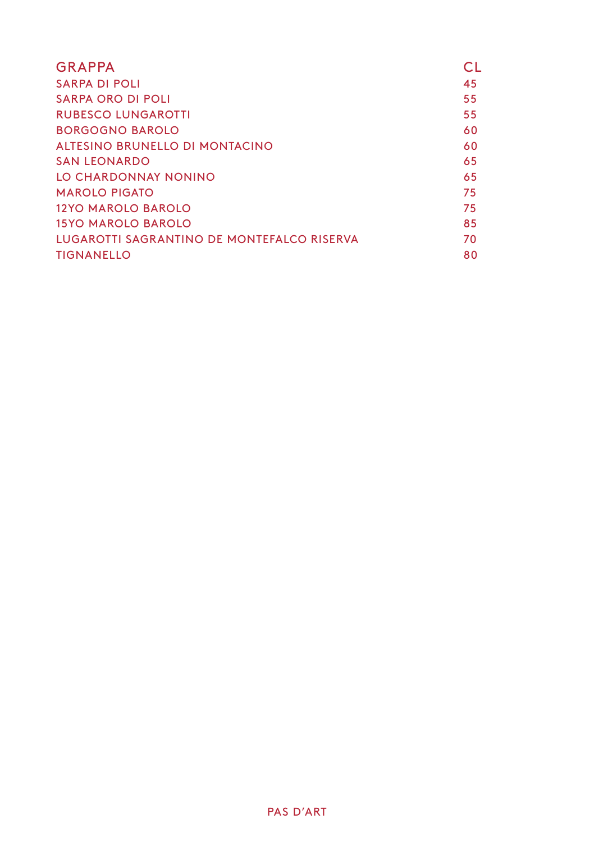| <b>GRAPPA</b>                                     | CL |
|---------------------------------------------------|----|
| SARPA DI POLI                                     | 45 |
| SARPA ORO DI POLI                                 | 55 |
| <b>RUBESCO LUNGAROTTI</b>                         | 55 |
| <b>BORGOGNO BAROLO</b>                            | 60 |
| ALTESINO BRUNELLO DI MONTACINO                    | 60 |
| SAN LEONARDO                                      | 65 |
| LO CHARDONNAY NONINO                              | 65 |
| <b>MAROLO PIGATO</b>                              | 75 |
| 12YO MAROLO BAROLO                                | 75 |
| 15YO MAROLO BAROLO                                | 85 |
| <b>LUGAROTTI SAGRANTINO DE MONTEFALCO RISERVA</b> | 70 |
| <b>TIGNANELLO</b>                                 | 80 |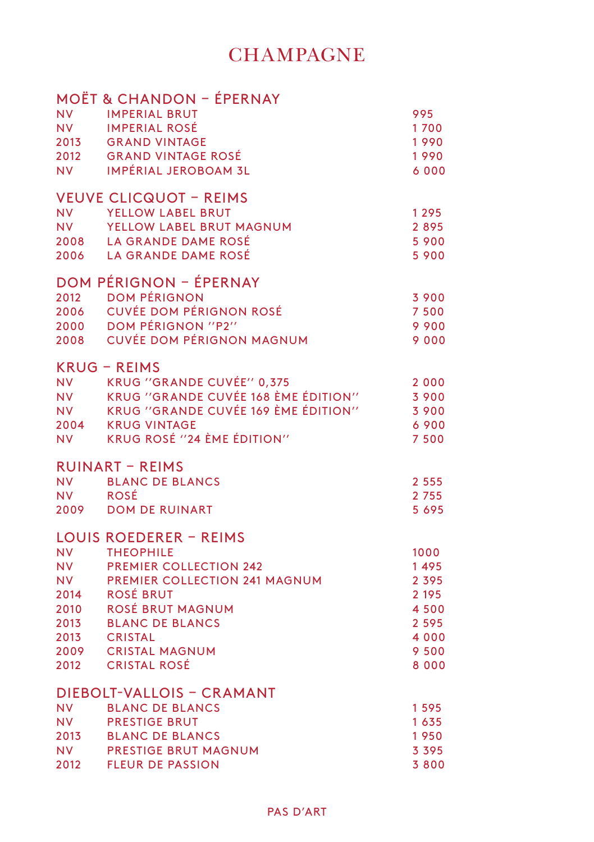# **CHAMPAGNE**

|                        | MOET & CHANDON – EPERNAY                                    |                    |
|------------------------|-------------------------------------------------------------|--------------------|
| <b>NV</b><br><b>NV</b> | <b>IMPERIAL BRUT</b><br><b>IMPERIAL ROSÉ</b>                | 995<br>1700        |
| 2013                   | <b>GRAND VINTAGE</b>                                        | 1990               |
| 2012                   | <b>GRAND VINTAGE ROSÉ</b>                                   | 1990               |
| <b>NV</b>              | <b>IMPÉRIAL JEROBOAM 3L</b>                                 | 6 0 0 0            |
|                        | <b>VEUVE CLICQUOT - REIMS</b>                               |                    |
| <b>NV</b><br>NV -      | YELLOW LABEL BRUT<br>YELLOW LABEL BRUT MAGNUM               | 1295<br>2895       |
|                        | 2008 LA GRANDE DAME ROSÉ                                    | 5 900              |
|                        | 2006 LA GRANDE DAME ROSÉ                                    | 5 900              |
|                        | DOM PÉRIGNON - ÉPERNAY                                      |                    |
| 2012                   | <b>DOM PÉRIGNON</b>                                         | 3 900              |
| 2006                   | <b>CUVÉE DOM PÉRIGNON ROSÉ</b><br><b>DOM PÉRIGNON "P2"</b>  | 7 5 0 0            |
| 2000<br>2008           | <b>CUVÉE DOM PÉRIGNON MAGNUM</b>                            | 9 9 0 0<br>9000    |
|                        |                                                             |                    |
| <b>NV</b>              | <b>KRUG - REIMS</b><br>KRUG ''GRANDE CUVÉE'' 0,375          | 2 0 0 0            |
| <b>NV</b>              | KRUG "GRANDE CUVÉE 168 ÈME ÉDITION"                         | 3 9 0 0            |
|                        | NV KRUG "GRANDE CUVÉE 169 ÈME ÉDITION"<br>2004 KRUG VINTAGE | 3 900              |
|                        | KRUG ROSÉ "24 ÈME ÉDITION"                                  | 6900               |
| <b>NV</b>              |                                                             | 7500               |
|                        | <b>RUINART - REIMS</b>                                      |                    |
| <b>NV</b><br><b>NV</b> | <b>BLANC DE BLANCS</b><br><b>ROSÉ</b>                       | 2 5 5 5<br>2 7 5 5 |
| 2009                   | <b>DOM DE RUINART</b>                                       | 5 6 9 5            |
|                        | LOUIS ROEDERER - REIMS                                      |                    |
| NV 1                   | <b>THEOPHILE</b>                                            | 1000               |
| NV -                   | <b>PREMIER COLLECTION 242</b>                               | 1495               |
| <b>NV</b>              | <b>PREMIER COLLECTION 241 MAGNUM</b>                        | 2 3 9 5            |
| 2014<br>2010           | ROSÉ BRUT<br>ROSÉ BRUT MAGNUM                               | 2 1 9 5<br>4 5 0 0 |
| 2013                   | <b>BLANC DE BLANCS</b>                                      | 2 5 9 5            |
| 2013                   | <b>CRISTAL</b>                                              | 4 0 0 0            |
| 2009                   | <b>CRISTAL MAGNUM</b><br>2012 CRISTAL ROSÉ                  | 9 5 0 0<br>8 0 0 0 |
|                        |                                                             |                    |
|                        | DIEBOLT-VALLOIS - CRAMANT                                   |                    |
| <b>NV</b><br><b>NV</b> | <b>BLANC DE BLANCS</b><br><b>PRESTIGE BRUT</b>              | 1595<br>1635       |
| 2013                   | <b>BLANC DE BLANCS</b>                                      | 1950               |
| NV -                   | <b>PRESTIGE BRUT MAGNUM</b>                                 | 3 3 9 5            |
| 2012                   | <b>FLEUR DE PASSION</b>                                     | 3800               |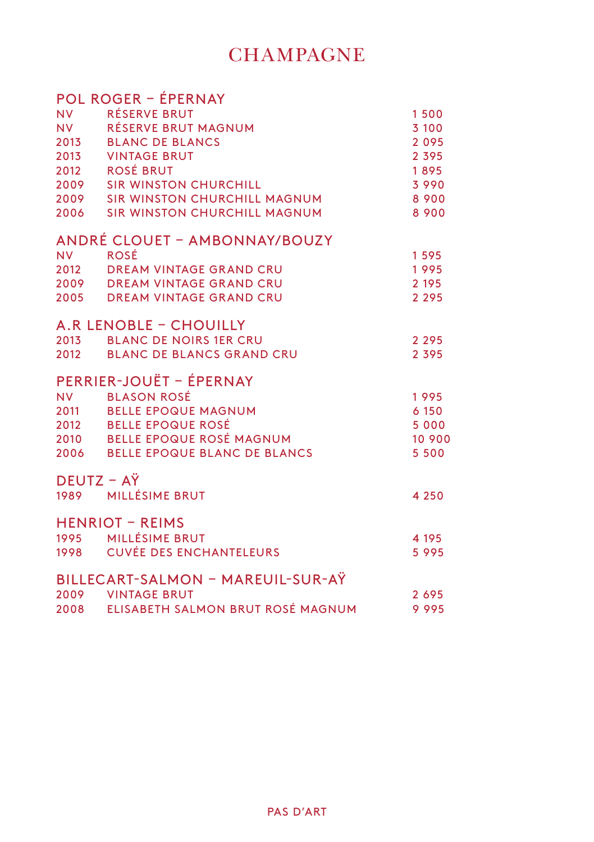# **CHAMPAGNE**

|           | <b>POL ROGER - ÉPERNAY</b>        |         |
|-----------|-----------------------------------|---------|
| <b>NV</b> | <b>RÉSERVE BRUT</b>               | 1500    |
| NV 1      | RÉSERVE BRUT MAGNUM               | 3 100   |
| 2013      | <b>BLANC DE BLANCS</b>            | 2095    |
|           | 2013 VINTAGE BRUT                 | 2 3 9 5 |
|           | 2012 ROSÉ BRUT                    | 1895    |
|           | 2009 SIR WINSTON CHURCHILL        | 3 9 9 0 |
|           | 2009 SIR WINSTON CHURCHILL MAGNUM | 8 9 0 0 |
| 2006      | SIR WINSTON CHURCHILL MAGNUM      | 8 9 0 0 |
|           | ANDRÉ CLOUET - AMBONNAY/BOUZY     |         |
| <b>NV</b> | <b>ROSÉ</b>                       | 1595    |
| 2012      | <b>DREAM VINTAGE GRAND CRU</b>    | 1995    |
|           | 2009 DREAM VINTAGE GRAND CRU      | 2 1 9 5 |
|           | 2005 DREAM VINTAGE GRAND CRU      | 2 2 9 5 |
|           | A.R LENOBLE - CHOUILLY            |         |
| 2013      | <b>BLANC DE NOIRS 1ER CRU</b>     | 2 2 9 5 |
|           | 2012 BLANC DE BLANCS GRAND CRU    | 2 3 9 5 |
|           | PERRIER-JOUËT - ÉPERNAY           |         |
|           | NV BLASON ROSÉ                    | 1995    |
|           | 2011 BELLE EPOQUE MAGNUM          | 6 150   |
|           | 2012 BELLE EPOQUE ROSÉ            | 5 0 0 0 |
|           | 2010 BELLE EPOQUE ROSÉ MAGNUM     | 10 900  |
|           | 2006 BELLE EPOQUE BLANC DE BLANCS | 5 5 0 0 |
|           | DEUTZ - AŸ                        |         |
|           | 1989 MILLÉSIME BRUT               | 4 2 5 0 |
|           | <b>HENRIOT - REIMS</b>            |         |
|           | 1995 MILLÉSIME BRUT               | 4 1 9 5 |
|           | 1998 CUVÉE DES ENCHANTELEURS      | 5995    |
|           | BILLECART-SALMON - MAREUIL-SUR-AŸ |         |
|           | 2009 VINTAGE BRUT                 | 2695    |
| 2008      | ELISABETH SALMON BRUT ROSÉ MAGNUM | 9995    |